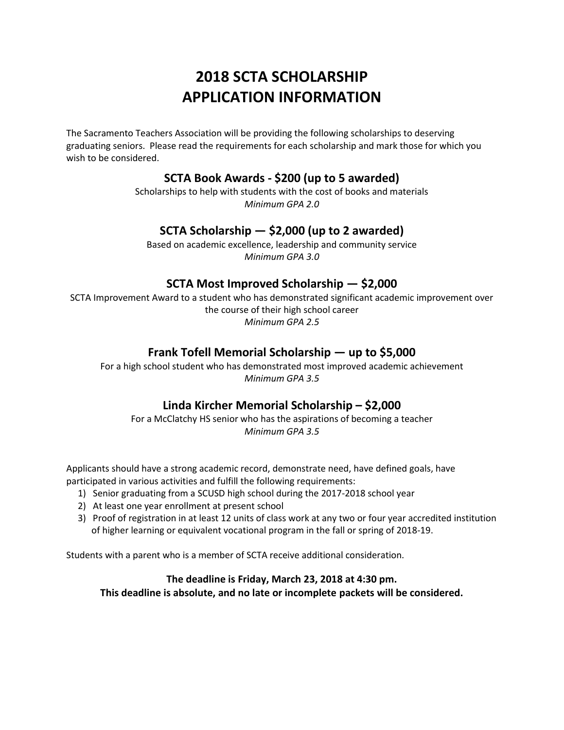# **2018 SCTA SCHOLARSHIP APPLICATION INFORMATION**

The Sacramento Teachers Association will be providing the following scholarships to deserving graduating seniors. Please read the requirements for each scholarship and mark those for which you wish to be considered.

# **SCTA Book Awards - \$200 (up to 5 awarded)**

Scholarships to help with students with the cost of books and materials *Minimum GPA 2.0*

### **SCTA Scholarship — \$2,000 (up to 2 awarded)**

Based on academic excellence, leadership and community service *Minimum GPA 3.0*

# **SCTA Most Improved Scholarship — \$2,000**

SCTA Improvement Award to a student who has demonstrated significant academic improvement over the course of their high school career *Minimum GPA 2.5*

### **Frank Tofell Memorial Scholarship — up to \$5,000**

For a high school student who has demonstrated most improved academic achievement *Minimum GPA 3.5*

# **Linda Kircher Memorial Scholarship – \$2,000**

For a McClatchy HS senior who has the aspirations of becoming a teacher *Minimum GPA 3.5*

Applicants should have a strong academic record, demonstrate need, have defined goals, have participated in various activities and fulfill the following requirements:

- 1) Senior graduating from a SCUSD high school during the 2017-2018 school year
- 2) At least one year enrollment at present school
- 3) Proof of registration in at least 12 units of class work at any two or four year accredited institution of higher learning or equivalent vocational program in the fall or spring of 2018-19.

Students with a parent who is a member of SCTA receive additional consideration.

### **The deadline is Friday, March 23, 2018 at 4:30 pm. This deadline is absolute, and no late or incomplete packets will be considered.**